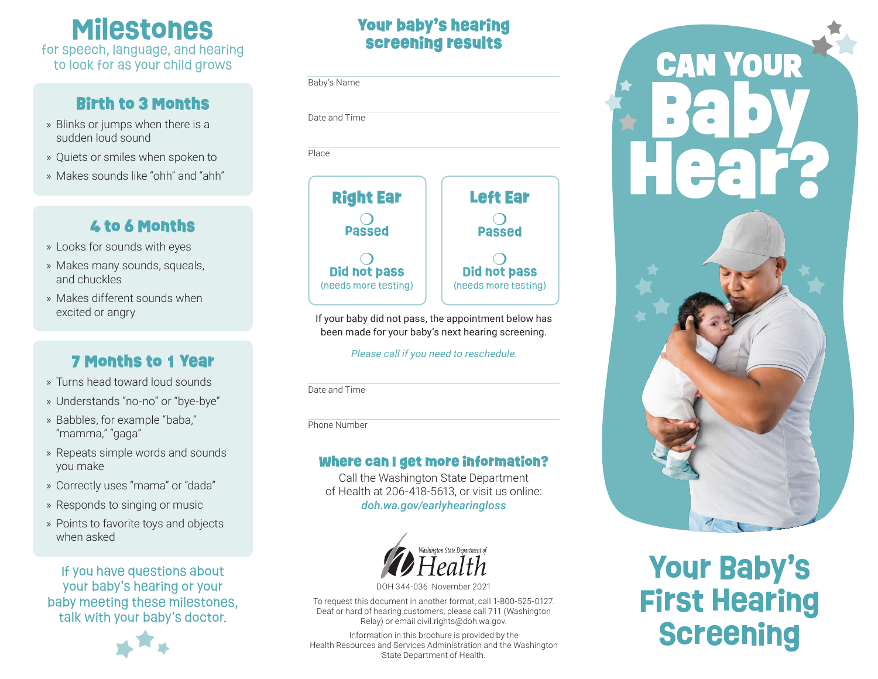**Milestones** for speech, language, and hearing to look for as your child grows

### Birth to 3 Months

- » Blinks or jumps when there is a sudden loud sound
- » Quiets or smiles when spoken to
- » Makes sounds like "ohh" and "ahh"

# 4 to 6 Months

- » Looks for sounds with eyes
- » Makes many sounds, squeals, and chuckles
- » Makes different sounds when excited or angry

# 7 Months to 1 Year

- » Turns head toward loud sounds
- » Understands "no-no" or "bye-bye"
- » Babbles, for example "baba," "mamma," "gaga"
- » Repeats simple words and sounds you make
- » Correctly uses "mama" or "dada"
- » Responds to singing or music
- » Points to favorite toys and objects when asked

If you have questions about your baby's hearing or your baby meeting these milestones, talk with your baby's doctor.



# Your baby's hearing screening results

Baby's Name

Date and Time Place



If your baby did not pass, the appointment below has been made for your baby's next hearing screening.

Please call if you need to reschedule.

Date and Time

Phone Number

### Where can I get more information?

Call the Washington State Department of Health at 206-418-5613, or visit us online: *[doh.wa.gov/earlyhearingloss](http://doh.wa.gov/earlyhearingloss)*



DOH 344-036 November 2021

To request this document in another format, call 1-800-525-0127. Deaf or hard of hearing customers, please call 711 (Washington Relay) or email [civil.rights@doh.wa.gov.](mailto:civil.rights%40doh.wa.gov?subject=)

Information in this brochure is provided by the Health Resources and Services Administration and the Washington State Department of Health.



# **Your Baby's First Hearing Screening**